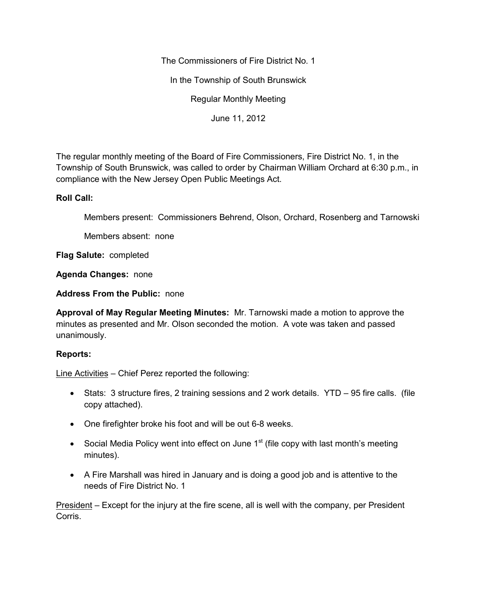The Commissioners of Fire District No. 1

In the Township of South Brunswick

Regular Monthly Meeting

June 11, 2012

The regular monthly meeting of the Board of Fire Commissioners, Fire District No. 1, in the Township of South Brunswick, was called to order by Chairman William Orchard at 6:30 p.m., in compliance with the New Jersey Open Public Meetings Act.

## **Roll Call:**

Members present: Commissioners Behrend, Olson, Orchard, Rosenberg and Tarnowski

Members absent: none

**Flag Salute:** completed

**Agenda Changes:** none

**Address From the Public:** none

**Approval of May Regular Meeting Minutes:** Mr. Tarnowski made a motion to approve the minutes as presented and Mr. Olson seconded the motion. A vote was taken and passed unanimously.

# **Reports:**

Line Activities – Chief Perez reported the following:

- Stats: 3 structure fires, 2 training sessions and 2 work details. YTD 95 fire calls. (file copy attached).
- One firefighter broke his foot and will be out 6-8 weeks.
- Social Media Policy went into effect on June  $1<sup>st</sup>$  (file copy with last month's meeting minutes).
- A Fire Marshall was hired in January and is doing a good job and is attentive to the needs of Fire District No. 1

President – Except for the injury at the fire scene, all is well with the company, per President Corris.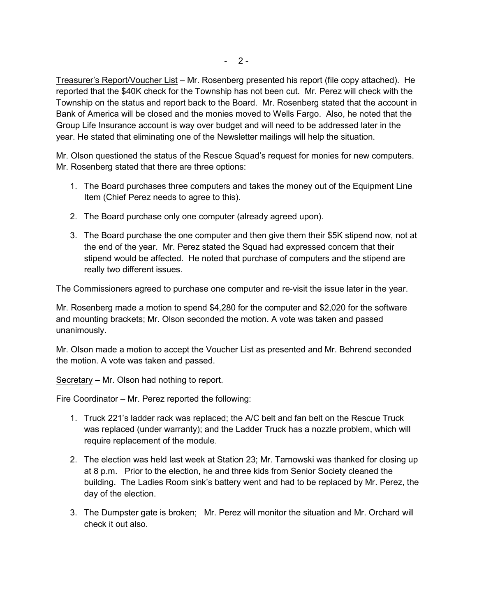Treasurer's Report/Voucher List – Mr. Rosenberg presented his report (file copy attached). He reported that the \$40K check for the Township has not been cut. Mr. Perez will check with the Township on the status and report back to the Board. Mr. Rosenberg stated that the account in Bank of America will be closed and the monies moved to Wells Fargo. Also, he noted that the Group Life Insurance account is way over budget and will need to be addressed later in the year. He stated that eliminating one of the Newsletter mailings will help the situation.

Mr. Olson questioned the status of the Rescue Squad's request for monies for new computers. Mr. Rosenberg stated that there are three options:

- 1. The Board purchases three computers and takes the money out of the Equipment Line Item (Chief Perez needs to agree to this).
- 2. The Board purchase only one computer (already agreed upon).
- 3. The Board purchase the one computer and then give them their \$5K stipend now, not at the end of the year. Mr. Perez stated the Squad had expressed concern that their stipend would be affected. He noted that purchase of computers and the stipend are really two different issues.

The Commissioners agreed to purchase one computer and re-visit the issue later in the year.

Mr. Rosenberg made a motion to spend \$4,280 for the computer and \$2,020 for the software and mounting brackets; Mr. Olson seconded the motion. A vote was taken and passed unanimously.

Mr. Olson made a motion to accept the Voucher List as presented and Mr. Behrend seconded the motion. A vote was taken and passed.

Secretary – Mr. Olson had nothing to report.

Fire Coordinator – Mr. Perez reported the following:

- 1. Truck 221's ladder rack was replaced; the A/C belt and fan belt on the Rescue Truck was replaced (under warranty); and the Ladder Truck has a nozzle problem, which will require replacement of the module.
- 2. The election was held last week at Station 23; Mr. Tarnowski was thanked for closing up at 8 p.m. Prior to the election, he and three kids from Senior Society cleaned the building. The Ladies Room sink's battery went and had to be replaced by Mr. Perez, the day of the election.
- 3. The Dumpster gate is broken; Mr. Perez will monitor the situation and Mr. Orchard will check it out also.